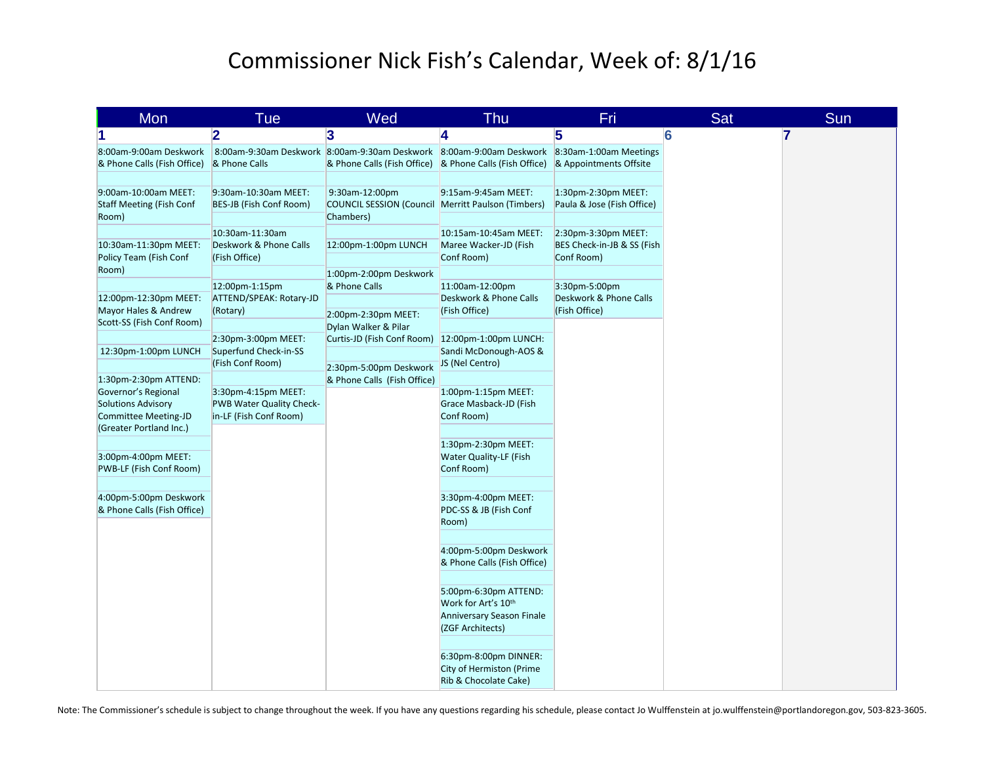## Commissioner Nick Fish's Calendar, Week of: 8/1/16

| Mon                                                                                                      | <b>Tue</b>                                                                | Wed                                                                                                                             | <b>Thu</b>                                                                                                | Fri                                                             | Sat | Sun            |
|----------------------------------------------------------------------------------------------------------|---------------------------------------------------------------------------|---------------------------------------------------------------------------------------------------------------------------------|-----------------------------------------------------------------------------------------------------------|-----------------------------------------------------------------|-----|----------------|
|                                                                                                          | $\overline{\mathbf{2}}$                                                   | 3                                                                                                                               | 4                                                                                                         | 5                                                               | 6   | $\overline{7}$ |
| 8:00am-9:00am Deskwork<br>& Phone Calls (Fish Office)                                                    | & Phone Calls                                                             | 8:00am-9:30am Deskwork 8:00am-9:30am Deskwork 8:00am-9:00am Deskwork<br>& Phone Calls (Fish Office) & Phone Calls (Fish Office) |                                                                                                           | 8:30am-1:00am Meetings<br>& Appointments Offsite                |     |                |
| 9:00am-10:00am MEET:<br><b>Staff Meeting (Fish Conf</b><br>Room)                                         | 9:30am-10:30am MEET:<br>BES-JB (Fish Conf Room)                           | 9:30am-12:00pm<br><b>COUNCIL SESSION (Council Merritt Paulson (Timbers)</b><br>Chambers)                                        | 9:15am-9:45am MEET:                                                                                       | 1:30pm-2:30pm MEET:<br>Paula & Jose (Fish Office)               |     |                |
| 10:30am-11:30pm MEET:<br>Policy Team (Fish Conf<br>Room)                                                 | 10:30am-11:30am<br>Deskwork & Phone Calls<br>(Fish Office)                | 12:00pm-1:00pm LUNCH<br>1:00pm-2:00pm Deskwork                                                                                  | 10:15am-10:45am MEET:<br>Maree Wacker-JD (Fish<br>Conf Room)                                              | 2:30pm-3:30pm MEET:<br>BES Check-in-JB & SS (Fish<br>Conf Room) |     |                |
| 12:00pm-12:30pm MEET:<br>Mayor Hales & Andrew<br>Scott-SS (Fish Conf Room)                               | 12:00pm-1:15pm<br>ATTEND/SPEAK: Rotary-JD<br>(Rotary)                     | & Phone Calls<br>2:00pm-2:30pm MEET:                                                                                            | 11:00am-12:00pm<br>Deskwork & Phone Calls<br>(Fish Office)                                                | 3:30pm-5:00pm<br>Deskwork & Phone Calls<br>(Fish Office)        |     |                |
| 12:30pm-1:00pm LUNCH                                                                                     | 2:30pm-3:00pm MEET:<br>Superfund Check-in-SS<br>(Fish Conf Room)          | Dylan Walker & Pilar<br>Curtis-JD (Fish Conf Room)<br>2:30pm-5:00pm Deskwork                                                    | 12:00pm-1:00pm LUNCH:<br>Sandi McDonough-AOS &<br>JS (Nel Centro)                                         |                                                                 |     |                |
| 1:30pm-2:30pm ATTEND:<br>Governor's Regional<br><b>Solutions Advisory</b><br><b>Committee Meeting-JD</b> | 3:30pm-4:15pm MEET:<br>PWB Water Quality Check-<br>in-LF (Fish Conf Room) | & Phone Calls (Fish Office)                                                                                                     | 1:00pm-1:15pm MEET:<br>Grace Masback-JD (Fish<br>Conf Room)                                               |                                                                 |     |                |
| (Greater Portland Inc.)<br>3:00pm-4:00pm MEET:<br>PWB-LF (Fish Conf Room)                                |                                                                           |                                                                                                                                 | 1:30pm-2:30pm MEET:<br>Water Quality-LF (Fish<br>Conf Room)                                               |                                                                 |     |                |
| 4:00pm-5:00pm Deskwork<br>& Phone Calls (Fish Office)                                                    |                                                                           |                                                                                                                                 | 3:30pm-4:00pm MEET:<br>PDC-SS & JB (Fish Conf<br>Room)                                                    |                                                                 |     |                |
|                                                                                                          |                                                                           |                                                                                                                                 | 4:00pm-5:00pm Deskwork<br>& Phone Calls (Fish Office)                                                     |                                                                 |     |                |
|                                                                                                          |                                                                           |                                                                                                                                 | 5:00pm-6:30pm ATTEND:<br>Work for Art's 10 <sup>th</sup><br>Anniversary Season Finale<br>(ZGF Architects) |                                                                 |     |                |
|                                                                                                          |                                                                           |                                                                                                                                 | 6:30pm-8:00pm DINNER:<br><b>City of Hermiston (Prime</b><br>Rib & Chocolate Cake)                         |                                                                 |     |                |

Note: The Commissioner's schedule is subject to change throughout the week. If you have any questions regarding his schedule, please contact Jo Wulffenstein at jo.wulffenstein@portlandoregon.gov, 503-823-3605.